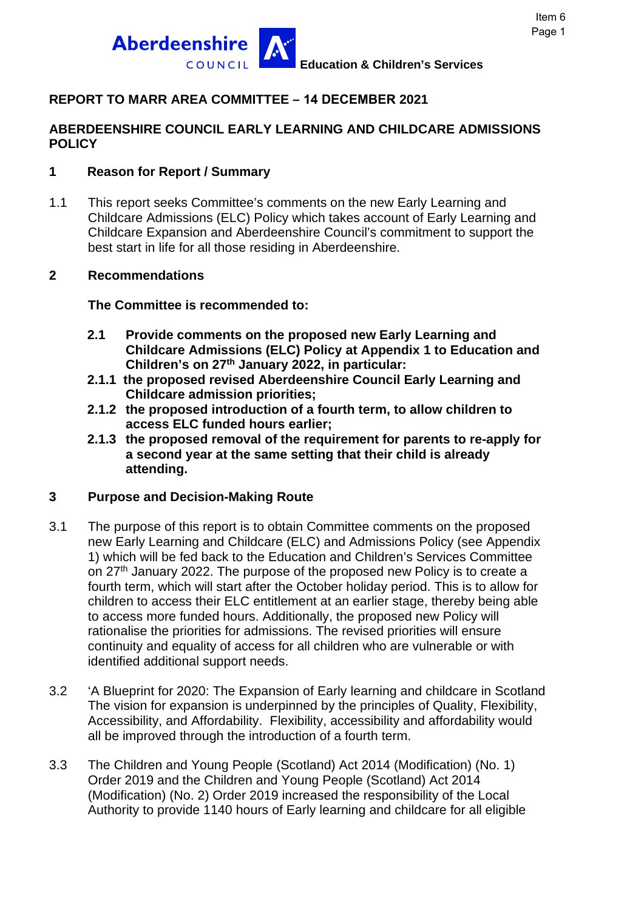

# **REPORT TO MARR AREA COMMITTEE – 14 DECEMBER 2021**

### **ABERDEENSHIRE COUNCIL EARLY LEARNING AND CHILDCARE ADMISSIONS POLICY**

### **1 Reason for Report / Summary**

1.1 This report seeks Committee's comments on the new Early Learning and Childcare Admissions (ELC) Policy which takes account of Early Learning and Childcare Expansion and Aberdeenshire Council's commitment to support the best start in life for all those residing in Aberdeenshire.

#### **2 Recommendations**

#### **The Committee is recommended to:**

- **2.1 Provide comments on the proposed new Early Learning and Childcare Admissions (ELC) Policy at Appendix 1 to Education and Children's on 27th January 2022, in particular:**
- **2.1.1 the proposed revised Aberdeenshire Council Early Learning and Childcare admission priorities;**
- **2.1.2 the proposed introduction of a fourth term, to allow children to access ELC funded hours earlier;**
- **2.1.3 the proposed removal of the requirement for parents to re-apply for a second year at the same setting that their child is already attending.**

### **3 Purpose and Decision-Making Route**

- 3.1 The purpose of this report is to obtain Committee comments on the proposed new Early Learning and Childcare (ELC) and Admissions Policy (see Appendix 1) which will be fed back to the Education and Children's Services Committee on 27<sup>th</sup> January 2022. The purpose of the proposed new Policy is to create a fourth term, which will start after the October holiday period. This is to allow for children to access their ELC entitlement at an earlier stage, thereby being able to access more funded hours. Additionally, the proposed new Policy will rationalise the priorities for admissions. The revised priorities will ensure continuity and equality of access for all children who are vulnerable or with identified additional support needs.
- 3.2 'A Blueprint for 2020: The Expansion of Early learning and childcare in Scotland The vision for expansion is underpinned by the principles of Quality, Flexibility, Accessibility, and Affordability. Flexibility, accessibility and affordability would all be improved through the introduction of a fourth term.
- 3.3 The Children and Young People (Scotland) Act 2014 (Modification) (No. 1) Order 2019 and the Children and Young People (Scotland) Act 2014 (Modification) (No. 2) Order 2019 increased the responsibility of the Local Authority to provide 1140 hours of Early learning and childcare for all eligible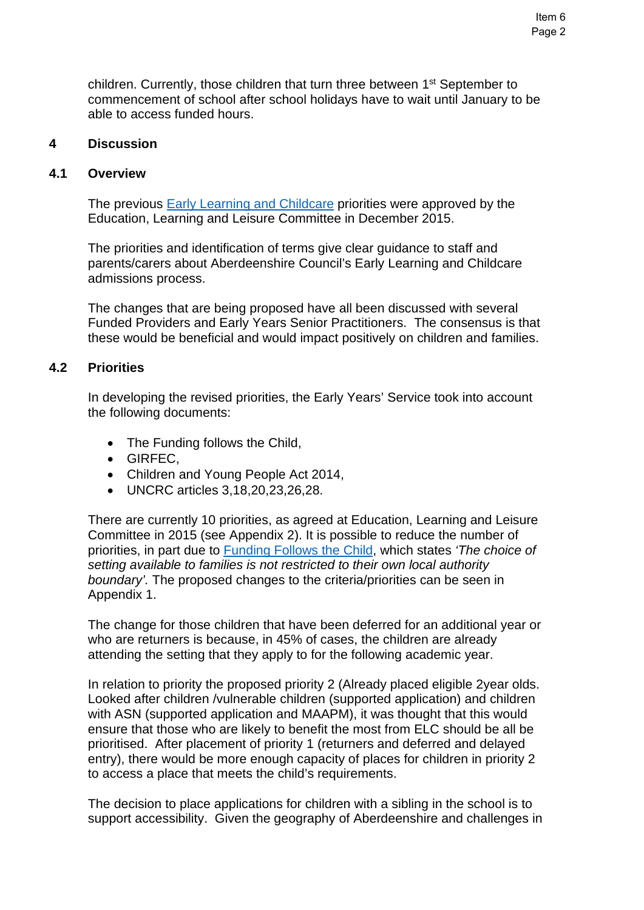children. Currently, those children that turn three between 1<sup>st</sup> September to commencement of school after school holidays have to wait until January to be able to access funded hours.

#### **4 Discussion**

#### **4.1 Overview**

The previous [Early Learning and Childcare](https://committees.aberdeenshire.gov.uk/FunctionsPage.aspx?dsid=83910&action=GetFileFromDB) priorities were approved by the Education, Learning and Leisure Committee in December 2015.

The priorities and identification of terms give clear guidance to staff and parents/carers about Aberdeenshire Council's Early Learning and Childcare admissions process.

The changes that are being proposed have all been discussed with several Funded Providers and Early Years Senior Practitioners. The consensus is that these would be beneficial and would impact positively on children and families.

#### **4.2 Priorities**

In developing the revised priorities, the Early Years' Service took into account the following documents:

- The Funding follows the Child,
- GIRFEC,
- Children and Young People Act 2014,
- UNCRC articles 3,18,20,23,26,28.

There are currently 10 priorities, as agreed at Education, Learning and Leisure Committee in 2015 (see Appendix 2). It is possible to reduce the number of priorities, in part due to [Funding Follows the Child,](https://www.gov.scot/publications/funding-follows-the-child-and-the-national-standard-for-early-learning-and-childcare-providers-interim-guidance---update-march-2021/) which states *'The choice of setting available to families is not restricted to their own local authority boundary'.* The proposed changes to the criteria/priorities can be seen in Appendix 1.

The change for those children that have been deferred for an additional year or who are returners is because, in 45% of cases, the children are already attending the setting that they apply to for the following academic year.

In relation to priority the proposed priority 2 (Already placed eligible 2year olds. Looked after children /vulnerable children (supported application) and children with ASN (supported application and MAAPM), it was thought that this would ensure that those who are likely to benefit the most from ELC should be all be prioritised. After placement of priority 1 (returners and deferred and delayed entry), there would be more enough capacity of places for children in priority 2 to access a place that meets the child's requirements.

The decision to place applications for children with a sibling in the school is to support accessibility. Given the geography of Aberdeenshire and challenges in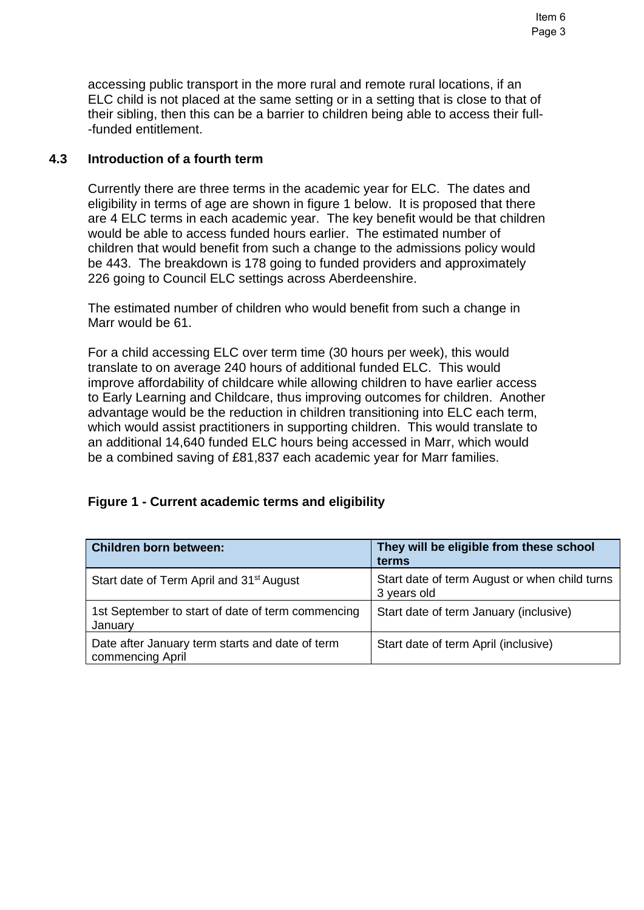accessing public transport in the more rural and remote rural locations, if an ELC child is not placed at the same setting or in a setting that is close to that of their sibling, then this can be a barrier to children being able to access their full- -funded entitlement.

#### **4.3 Introduction of a fourth term**

Currently there are three terms in the academic year for ELC. The dates and eligibility in terms of age are shown in figure 1 below. It is proposed that there are 4 ELC terms in each academic year. The key benefit would be that children would be able to access funded hours earlier. The estimated number of children that would benefit from such a change to the admissions policy would be 443. The breakdown is 178 going to funded providers and approximately 226 going to Council ELC settings across Aberdeenshire.

The estimated number of children who would benefit from such a change in Marr would be 61.

For a child accessing ELC over term time (30 hours per week), this would translate to on average 240 hours of additional funded ELC. This would improve affordability of childcare while allowing children to have earlier access to Early Learning and Childcare, thus improving outcomes for children. Another advantage would be the reduction in children transitioning into ELC each term, which would assist practitioners in supporting children. This would translate to an additional 14,640 funded ELC hours being accessed in Marr, which would be a combined saving of £81,837 each academic year for Marr families.

#### **Figure 1 - Current academic terms and eligibility**

| Children born between:                                              | They will be eligible from these school<br>terms             |
|---------------------------------------------------------------------|--------------------------------------------------------------|
| Start date of Term April and 31 <sup>st</sup> August                | Start date of term August or when child turns<br>3 years old |
| 1st September to start of date of term commencing<br>January        | Start date of term January (inclusive)                       |
| Date after January term starts and date of term<br>commencing April | Start date of term April (inclusive)                         |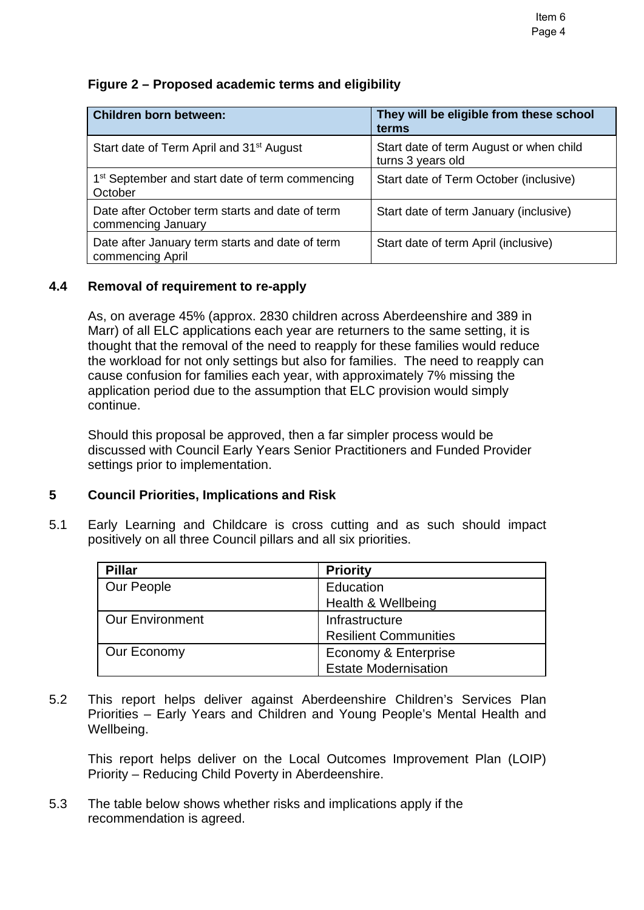## **Figure 2 – Proposed academic terms and eligibility**

| <b>Children born between:</b>                                          | They will be eligible from these school<br>terms             |
|------------------------------------------------------------------------|--------------------------------------------------------------|
| Start date of Term April and 31 <sup>st</sup> August                   | Start date of term August or when child<br>turns 3 years old |
| 1 <sup>st</sup> September and start date of term commencing<br>October | Start date of Term October (inclusive)                       |
| Date after October term starts and date of term<br>commencing January  | Start date of term January (inclusive)                       |
| Date after January term starts and date of term<br>commencing April    | Start date of term April (inclusive)                         |

### **4.4 Removal of requirement to re-apply**

As, on average 45% (approx. 2830 children across Aberdeenshire and 389 in Marr) of all ELC applications each year are returners to the same setting, it is thought that the removal of the need to reapply for these families would reduce the workload for not only settings but also for families. The need to reapply can cause confusion for families each year, with approximately 7% missing the application period due to the assumption that ELC provision would simply continue.

Should this proposal be approved, then a far simpler process would be discussed with Council Early Years Senior Practitioners and Funded Provider settings prior to implementation.

#### **5 Council Priorities, Implications and Risk**

5.1 Early Learning and Childcare is cross cutting and as such should impact positively on all three Council pillars and all six priorities.

| <b>Pillar</b>          | <b>Priority</b>              |
|------------------------|------------------------------|
| Our People             | Education                    |
|                        | Health & Wellbeing           |
| <b>Our Environment</b> | Infrastructure               |
|                        | <b>Resilient Communities</b> |
| Our Economy            | Economy & Enterprise         |
|                        | <b>Estate Modernisation</b>  |

5.2 This report helps deliver against Aberdeenshire Children's Services Plan Priorities – Early Years and Children and Young People's Mental Health and Wellbeing.

This report helps deliver on the Local Outcomes Improvement Plan (LOIP) Priority – Reducing Child Poverty in Aberdeenshire.

5.3 The table below shows whether risks and implications apply if the recommendation is agreed.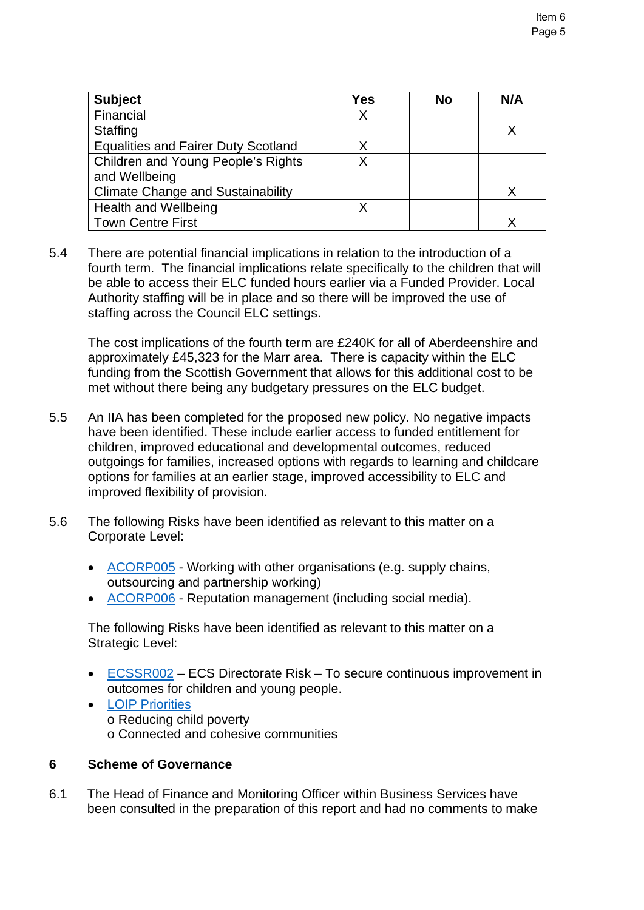| <b>Subject</b>                             | Yes | <b>No</b> | N/A |
|--------------------------------------------|-----|-----------|-----|
| Financial                                  | Χ   |           |     |
| <b>Staffing</b>                            |     |           |     |
| <b>Equalities and Fairer Duty Scotland</b> | χ   |           |     |
| <b>Children and Young People's Rights</b>  |     |           |     |
| and Wellbeing                              |     |           |     |
| <b>Climate Change and Sustainability</b>   |     |           |     |
| <b>Health and Wellbeing</b>                |     |           |     |
| <b>Town Centre First</b>                   |     |           |     |

5.4 There are potential financial implications in relation to the introduction of a fourth term. The financial implications relate specifically to the children that will be able to access their ELC funded hours earlier via a Funded Provider. Local Authority staffing will be in place and so there will be improved the use of staffing across the Council ELC settings.

The cost implications of the fourth term are £240K for all of Aberdeenshire and approximately £45,323 for the Marr area. There is capacity within the ELC funding from the Scottish Government that allows for this additional cost to be met without there being any budgetary pressures on the ELC budget.

- 5.5 An IIA has been completed for the proposed new policy. No negative impacts have been identified. These include earlier access to funded entitlement for children, improved educational and developmental outcomes, reduced outgoings for families, increased options with regards to learning and childcare options for families at an earlier stage, improved accessibility to ELC and improved flexibility of provision.
- 5.6 The following Risks have been identified as relevant to this matter on a Corporate Level:
	- [ACORP005](https://aberdeenshire.sharepoint.com/sites/EvidenceBank/Shared%20Documents/General/3.%20Performance/Links%20from%20Narrative/3.5%20External%20Scruitiny%20and%20Risk/34.%20Aberdeenshire%20Corporate%20Risk%20Register.pdf#search=ACORP005%20Working%20with%20other%20organisation)  Working with other organisations (e.g. supply chains, outsourcing and partnership working)
	- [ACORP006](https://aberdeenshire.sharepoint.com/sites/EvidenceBank/Shared%20Documents/General/3.%20Performance/Links%20from%20Narrative/3.5%20External%20Scruitiny%20and%20Risk/34.%20Aberdeenshire%20Corporate%20Risk%20Register.pdf#search=ACORP005%20Working%20with%20other%20organisation)  Reputation management (including social media).

The following Risks have been identified as relevant to this matter on a Strategic Level:

- [ECSSR002](https://aberdeenshire.gov.uk/media/26330/ecsdirectoraterisksregister.pdf)  ECS Directorate Risk To secure continuous improvement in outcomes for children and young people.
- [LOIP Priorities](https://www.ouraberdeenshire.org.uk/our-priorities/local-outcomes-improvement-plan/) o Reducing child poverty o Connected and cohesive communities

## **6 Scheme of Governance**

6.1 The Head of Finance and Monitoring Officer within Business Services have been consulted in the preparation of this report and had no comments to make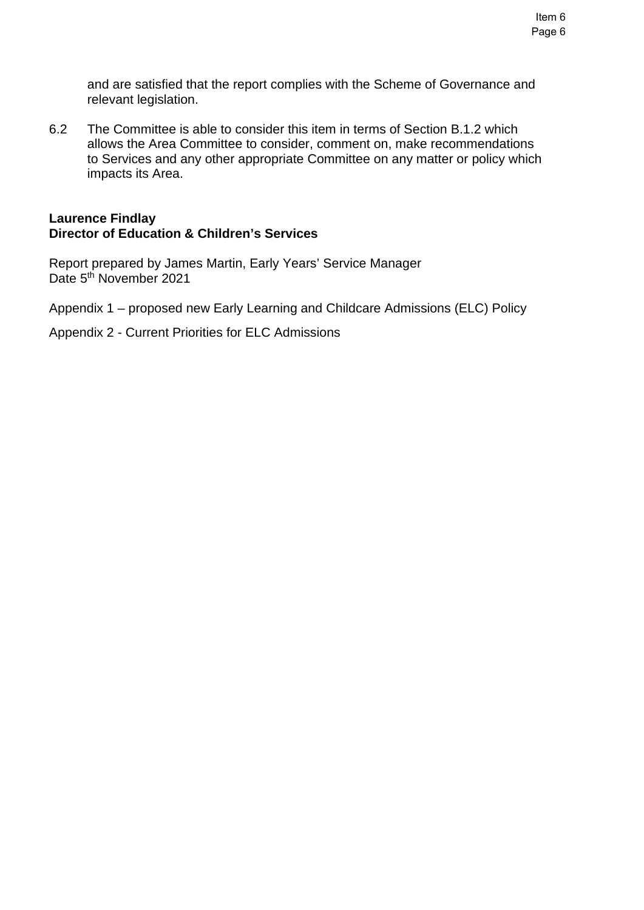and are satisfied that the report complies with the Scheme of Governance and relevant legislation.

6.2 The Committee is able to consider this item in terms of Section B.1.2 which allows the Area Committee to consider, comment on, make recommendations to Services and any other appropriate Committee on any matter or policy which impacts its Area.

### **Laurence Findlay Director of Education & Children's Services**

Report prepared by James Martin, Early Years' Service Manager Date 5<sup>th</sup> November 2021

Appendix 1 – proposed new Early Learning and Childcare Admissions (ELC) Policy

Appendix 2 - Current Priorities for ELC Admissions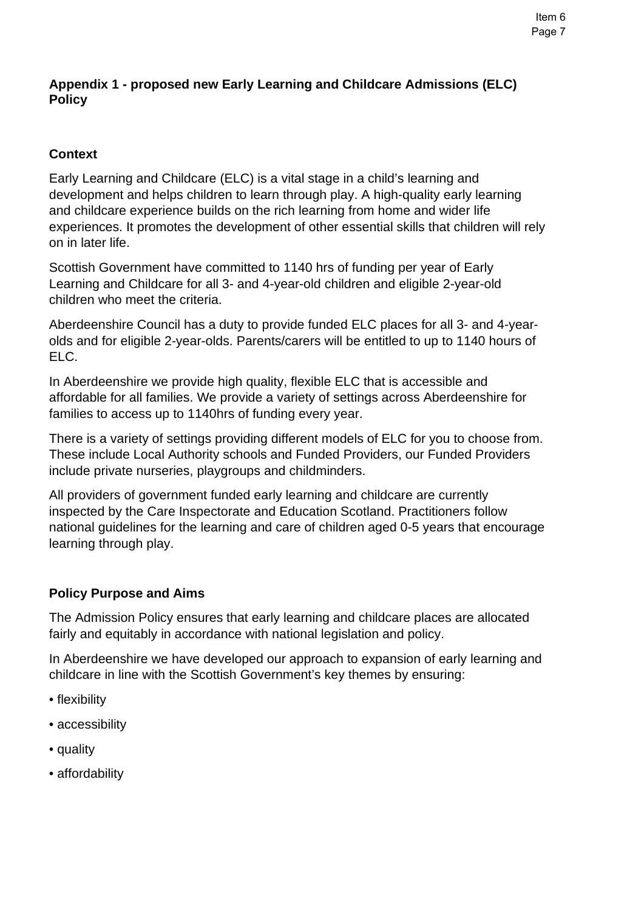# **Context**

Early Learning and Childcare (ELC) is a vital stage in a child's learning and development and helps children to learn through play. A high-quality early learning and childcare experience builds on the rich learning from home and wider life experiences. It promotes the development of other essential skills that children will rely on in later life.

Scottish Government have committed to 1140 hrs of funding per year of Early Learning and Childcare for all 3- and 4-year-old children and eligible 2-year-old children who meet the criteria.

Aberdeenshire Council has a duty to provide funded ELC places for all 3- and 4-yearolds and for eligible 2-year-olds. Parents/carers will be entitled to up to 1140 hours of ELC.

In Aberdeenshire we provide high quality, flexible ELC that is accessible and affordable for all families. We provide a variety of settings across Aberdeenshire for families to access up to 1140hrs of funding every year.

There is a variety of settings providing different models of ELC for you to choose from. These include Local Authority schools and Funded Providers, our Funded Providers include private nurseries, playgroups and childminders.

All providers of government funded early learning and childcare are currently inspected by the Care Inspectorate and Education Scotland. Practitioners follow national guidelines for the learning and care of children aged 0-5 years that encourage learning through play.

## **Policy Purpose and Aims**

The Admission Policy ensures that early learning and childcare places are allocated fairly and equitably in accordance with national legislation and policy.

In Aberdeenshire we have developed our approach to expansion of early learning and childcare in line with the Scottish Government's key themes by ensuring:

- flexibility
- accessibility
- quality
- affordability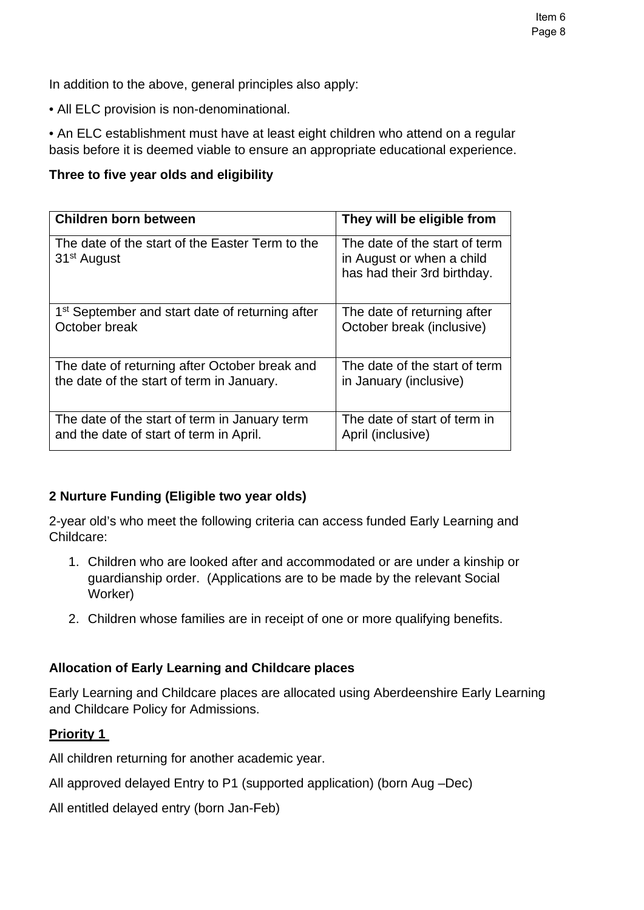In addition to the above, general principles also apply:

• All ELC provision is non-denominational.

• An ELC establishment must have at least eight children who attend on a regular basis before it is deemed viable to ensure an appropriate educational experience.

## **Three to five year olds and eligibility**

| Children born between                                                      | They will be eligible from                                                                |
|----------------------------------------------------------------------------|-------------------------------------------------------------------------------------------|
| The date of the start of the Easter Term to the<br>31 <sup>st</sup> August | The date of the start of term<br>in August or when a child<br>has had their 3rd birthday. |
| 1 <sup>st</sup> September and start date of returning after                | The date of returning after                                                               |
| October break                                                              | October break (inclusive)                                                                 |
| The date of returning after October break and                              | The date of the start of term                                                             |
| the date of the start of term in January.                                  | in January (inclusive)                                                                    |
| The date of the start of term in January term                              | The date of start of term in                                                              |
| and the date of start of term in April.                                    | April (inclusive)                                                                         |

## **2 Nurture Funding (Eligible two year olds)**

2-year old's who meet the following criteria can access funded Early Learning and Childcare:

- 1. Children who are looked after and accommodated or are under a kinship or guardianship order. (Applications are to be made by the relevant Social Worker)
- 2. Children whose families are in receipt of one or more qualifying benefits.

# **Allocation of Early Learning and Childcare places**

Early Learning and Childcare places are allocated using Aberdeenshire Early Learning and Childcare Policy for Admissions.

## **Priority 1**

All children returning for another academic year.

All approved delayed Entry to P1 (supported application) (born Aug –Dec)

All entitled delayed entry (born Jan-Feb)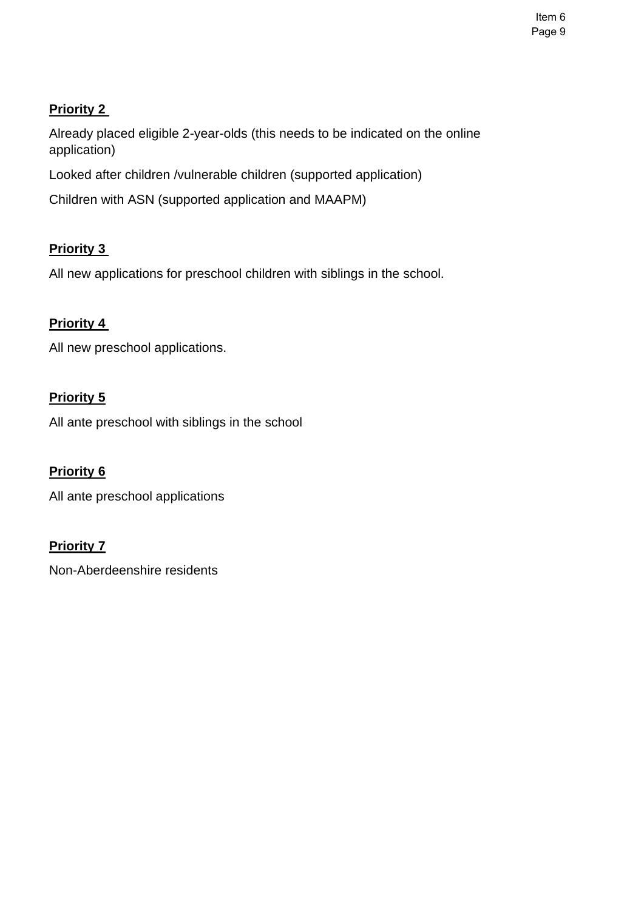**Priority 2** 

Already placed eligible 2-year-olds (this needs to be indicated on the online application)

Looked after children /vulnerable children (supported application)

Children with ASN (supported application and MAAPM)

# **Priority 3**

All new applications for preschool children with siblings in the school.

# **Priority 4**

All new preschool applications.

# **Priority 5**

All ante preschool with siblings in the school

# **Priority 6**

All ante preschool applications

## **Priority 7**

Non-Aberdeenshire residents